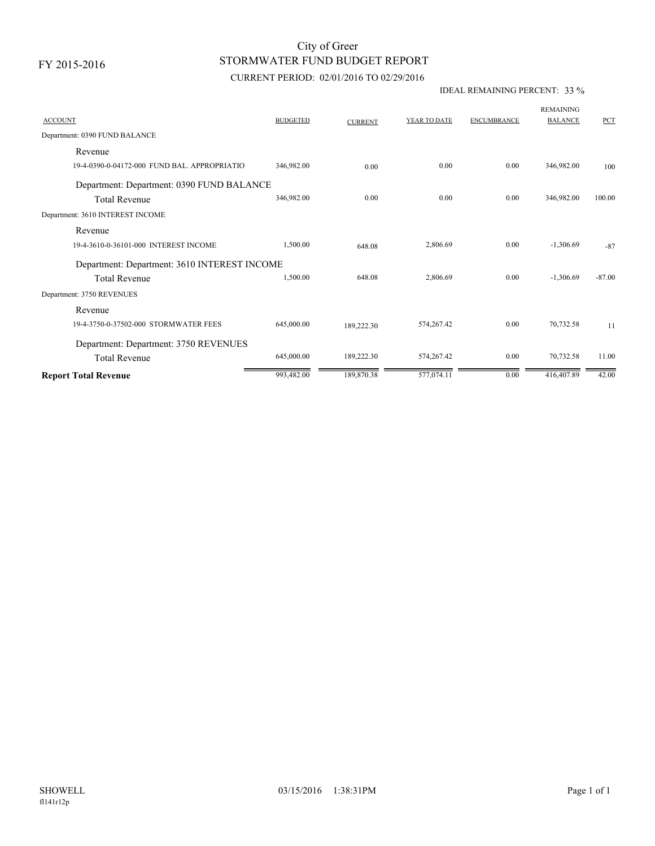# STORMWATER FUND BUDGET REPORT City of Greer

## CURRENT PERIOD: 02/01/2016 TO 02/29/2016

### IDEAL REMAINING PERCENT: 33 %

| <b>ACCOUNT</b>                               | <b>BUDGETED</b> | <b>CURRENT</b> | YEAR TO DATE | <b>ENCUMBRANCE</b> | <b>REMAINING</b><br><b>BALANCE</b> | PCT      |
|----------------------------------------------|-----------------|----------------|--------------|--------------------|------------------------------------|----------|
| Department: 0390 FUND BALANCE                |                 |                |              |                    |                                    |          |
| Revenue                                      |                 |                |              |                    |                                    |          |
| 19-4-0390-0-04172-000 FUND BAL, APPROPRIATIO | 346.982.00      | 0.00           | 0.00         | 0.00               | 346.982.00                         | 100      |
| Department: Department: 0390 FUND BALANCE    |                 |                |              |                    |                                    |          |
| <b>Total Revenue</b>                         | 346,982.00      | 0.00           | 0.00         | 0.00               | 346,982.00                         | 100.00   |
| Department: 3610 INTEREST INCOME             |                 |                |              |                    |                                    |          |
| Revenue                                      |                 |                |              |                    |                                    |          |
| 19-4-3610-0-36101-000 INTEREST INCOME        | 1,500.00        | 648.08         | 2,806.69     | 0.00               | $-1,306.69$                        | $-87$    |
| Department: Department: 3610 INTEREST INCOME |                 |                |              |                    |                                    |          |
| <b>Total Revenue</b>                         | 1,500.00        | 648.08         | 2,806.69     | 0.00               | $-1,306.69$                        | $-87.00$ |
| Department: 3750 REVENUES                    |                 |                |              |                    |                                    |          |
| Revenue                                      |                 |                |              |                    |                                    |          |
| 19-4-3750-0-37502-000 STORMWATER FEES        | 645,000.00      | 189,222.30     | 574,267.42   | 0.00               | 70,732.58                          | 11       |
| Department: Department: 3750 REVENUES        |                 |                |              |                    |                                    |          |
| <b>Total Revenue</b>                         | 645,000.00      | 189,222.30     | 574,267.42   | 0.00               | 70,732.58                          | 11.00    |
| <b>Report Total Revenue</b>                  | 993,482.00      | 189,870.38     | 577,074.11   | 0.00               | 416,407.89                         | 42.00    |